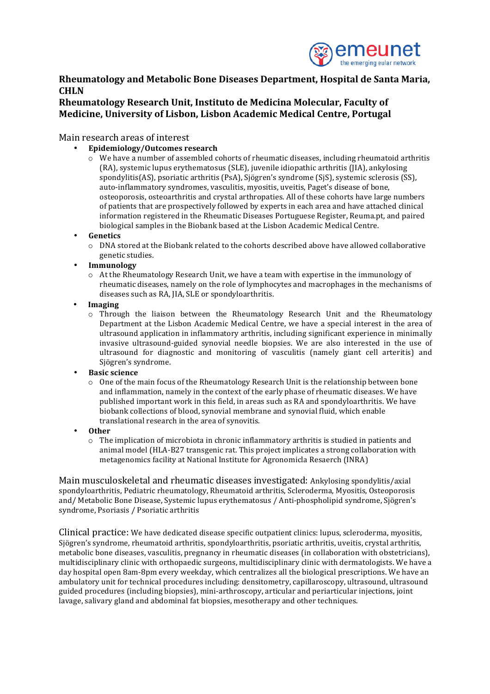

## **Rheumatology and Metabolic Bone Diseases Department, Hospital de Santa Maria, CHLN**

## **Rheumatology Research Unit, Instituto de Medicina Molecular, Faculty of Medicine, University of Lisbon, Lisbon Academic Medical Centre, Portugal**

Main research areas of interest

- **Epidemiology/Outcomes research**
	- $\circ$  We have a number of assembled cohorts of rheumatic diseases, including rheumatoid arthritis (RA), systemic lupus erythematosus (SLE), juvenile idiopathic arthritis (JIA), ankylosing spondylitis(AS), psoriatic arthritis (PsA), Sjögren's syndrome (SjS), systemic sclerosis (SS), auto-inflammatory syndromes, vasculitis, myositis, uveitis, Paget's disease of bone, osteoporosis, osteoarthritis and crystal arthropaties. All of these cohorts have large numbers of patients that are prospectively followed by experts in each area and have attached clinical information registered in the Rheumatic Diseases Portuguese Register, Reuma.pt, and paired biological samples in the Biobank based at the Lisbon Academic Medical Centre.
- **Genetics**
	- $\circ$  DNA stored at the Biobank related to the cohorts described above have allowed collaborative genetic studies.
- **Immunology**
	- $\circ$  At the Rheumatology Research Unit, we have a team with expertise in the immunology of rheumatic diseases, namely on the role of lymphocytes and macrophages in the mechanisms of diseases such as RA. IIA, SLE or spondyloarthritis.
- **Imaging**
	- $\circ$  Through the liaison between the Rheumatology Research Unit and the Rheumatology Department at the Lisbon Academic Medical Centre, we have a special interest in the area of ultrasound application in inflammatory arthritis, including significant experience in minimally invasive ultrasound-guided synovial needle biopsies. We are also interested in the use of ultrasound for diagnostic and monitoring of vasculitis (namely giant cell arteritis) and Sjögren's syndrome.
- **Basic science**
	- $\circ$  One of the main focus of the Rheumatology Research Unit is the relationship between bone and inflammation, namely in the context of the early phase of rheumatic diseases. We have published important work in this field, in areas such as RA and spondyloarthritis. We have biobank collections of blood, synovial membrane and synovial fluid, which enable translational research in the area of synovitis.
- **Other**
	- $\circ$  The implication of microbiota in chronic inflammatory arthritis is studied in patients and animal model (HLA-B27 transgenic rat. This project implicates a strong collaboration with metagenomics facility at National Institute for Agronomicla Resaerch (INRA)

Main musculoskeletal and rheumatic diseases investigated: Ankylosing spondylitis/axial spondyloarthritis, Pediatric rheumatology, Rheumatoid arthritis, Scleroderma, Myositis, Osteoporosis and/ Metabolic Bone Disease, Systemic lupus erythematosus / Anti-phospholipid syndrome, Sjögren's syndrome, Psoriasis / Psoriatic arthritis

Clinical practice: We have dedicated disease specific outpatient clinics: lupus, scleroderma, myositis, Sjögren's syndrome, rheumatoid arthritis, spondyloarthritis, psoriatic arthritis, uveitis, crystal arthritis, metabolic bone diseases, vasculitis, pregnancy in rheumatic diseases (in collaboration with obstetricians), multidisciplinary clinic with orthopaedic surgeons, multidisciplinary clinic with dermatologists. We have a day hospital open 8am-8pm every weekday, which centralizes all the biological prescriptions. We have an ambulatory unit for technical procedures including: densitometry, capillaroscopy, ultrasound, ultrasound guided procedures (including biopsies), mini-arthroscopy, articular and periarticular injections, joint lavage, salivary gland and abdominal fat biopsies, mesotherapy and other techniques.